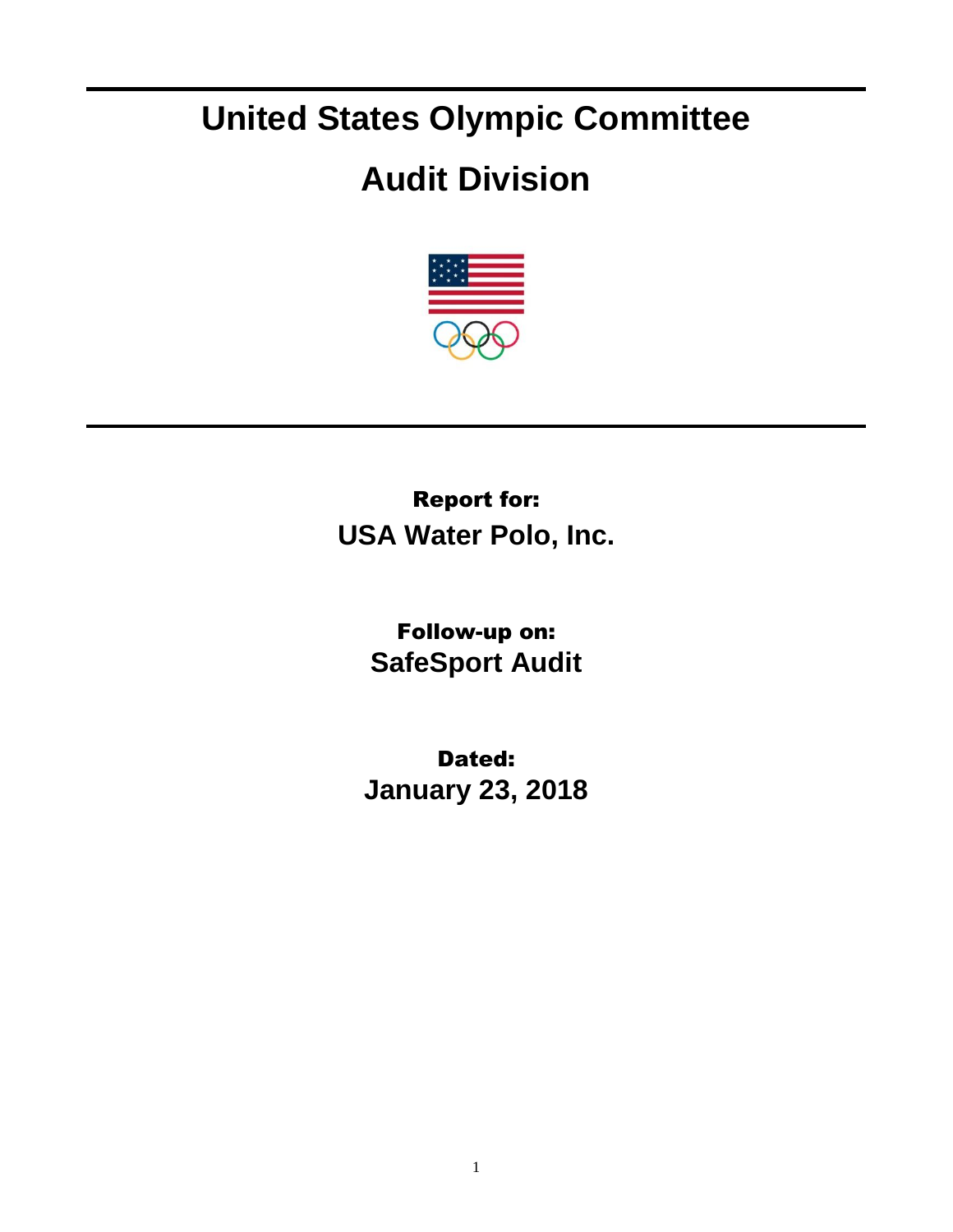## **United States Olympic Committee**

## **Audit Division**



Report for: **USA Water Polo, Inc.**

> Follow-up on: **SafeSport Audit**

Dated: **January 23, 2018**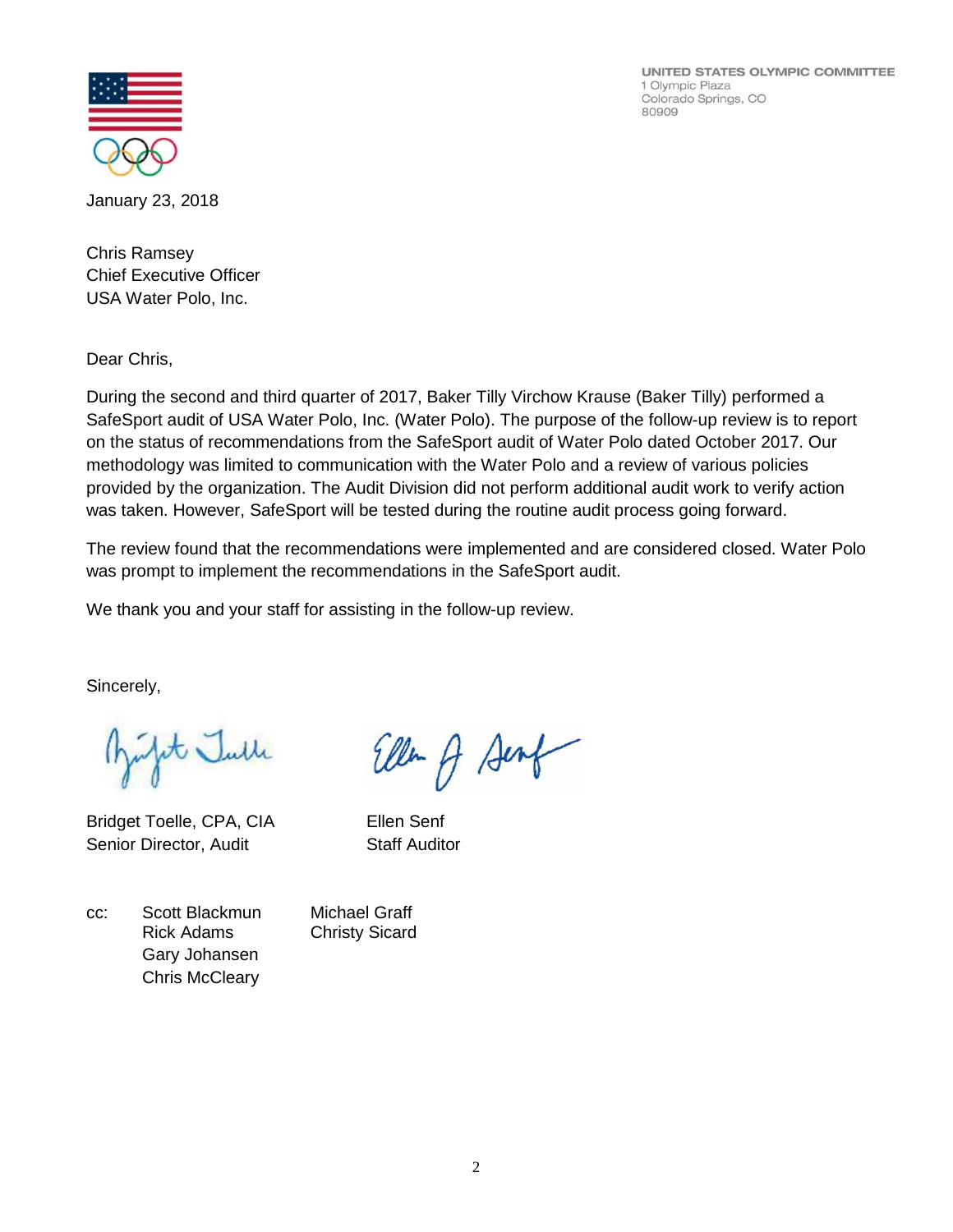UNITED STATES OLYMPIC COMMITTEE 1 Olympic Plaza Colorado Springs, CO 80909



January 23, 2018

Chris Ramsey Chief Executive Officer USA Water Polo, Inc.

Dear Chris,

During the second and third quarter of 2017, Baker Tilly Virchow Krause (Baker Tilly) performed a SafeSport audit of USA Water Polo, Inc. (Water Polo). The purpose of the follow-up review is to report on the status of recommendations from the SafeSport audit of Water Polo dated October 2017. Our methodology was limited to communication with the Water Polo and a review of various policies provided by the organization. The Audit Division did not perform additional audit work to verify action was taken. However, SafeSport will be tested during the routine audit process going forward.

The review found that the recommendations were implemented and are considered closed. Water Polo was prompt to implement the recommendations in the SafeSport audit.

We thank you and your staff for assisting in the follow-up review.

Sincerely,

infite Julle

Bridget Toelle, CPA, CIA Ellen Senf Senior Director, Audit Staff Auditor

Ellen A Senf

cc: Scott Blackmun Michael Graff Rick Adams Christy Sicard Gary Johansen Chris McCleary